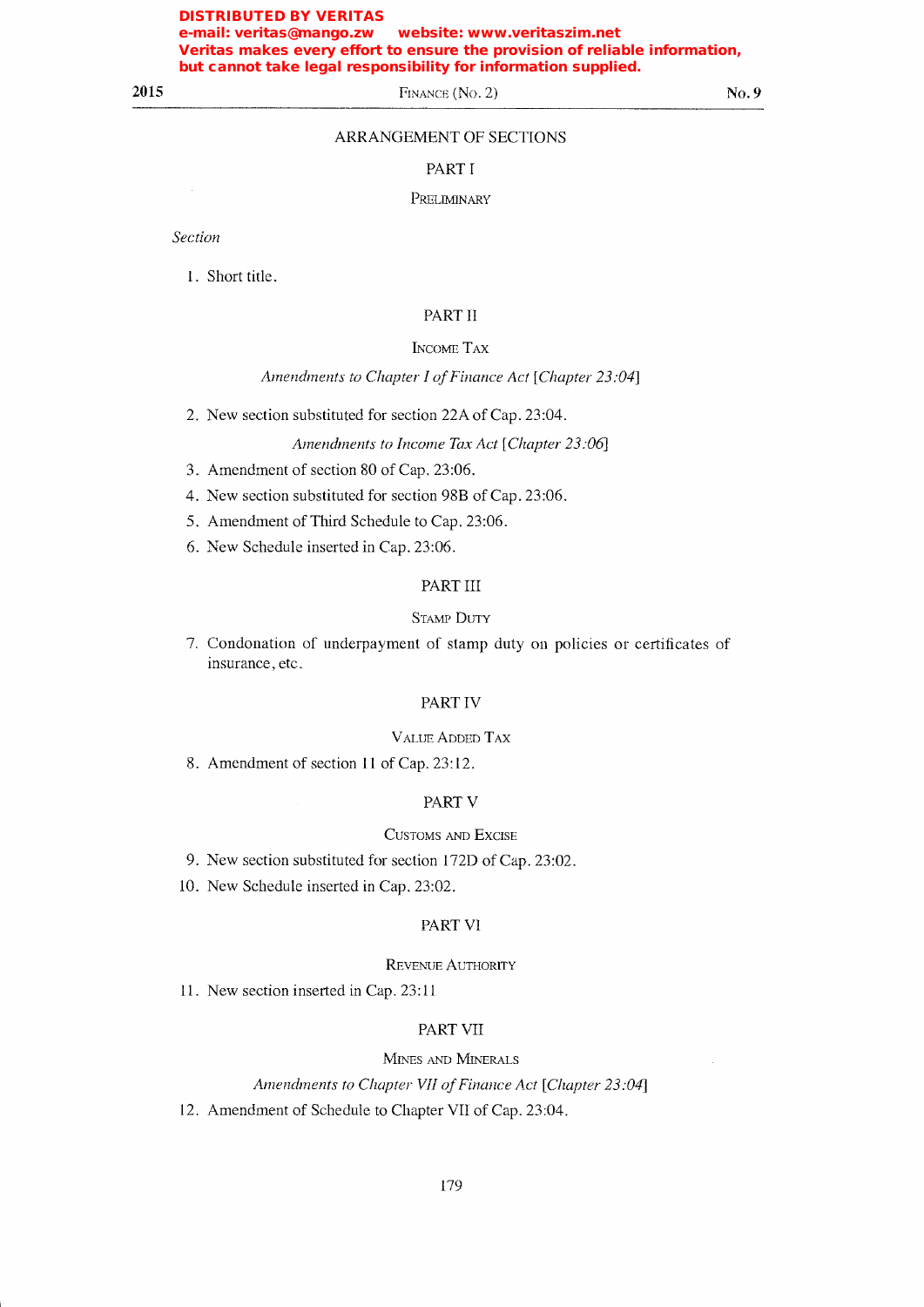# 2015

FINANCE (No. 2)

 $No.9$ 

# ARRANGEMENT OF SECTIONS

#### PART I

## PRELIMINARY

Section

1. Short title.

# PART II

#### **INCOME TAX**

## Amendments to Chapter I of Finance Act [Chapter 23:04]

2. New section substituted for section 22A of Cap. 23:04.

#### Amendments to Income Tax Act [Chapter 23:06]

- 3. Amendment of section 80 of Cap. 23:06.
- 4. New section substituted for section 98B of Cap. 23:06.
- 5. Amendment of Third Schedule to Cap. 23:06.
- 6. New Schedule inserted in Cap. 23:06.

# PART III

#### **STAMP DUTY**

7. Condonation of underpayment of stamp duty on policies or certificates of insurance, etc.

#### PART IV

#### **VALUE ADDED TAX**

8. Amendment of section 11 of Cap. 23:12.

#### PART V

#### **CUSTOMS AND EXCISE**

- 9. New section substituted for section 172D of Cap. 23:02.
- 10. New Schedule inserted in Cap. 23:02.

# PART VI

#### **REVENUE AUTHORITY**

11. New section inserted in Cap. 23:11

#### **PART VII**

#### MINES AND MINERALS

Amendments to Chapter VII of Finance Act [Chapter 23:04]

12. Amendment of Schedule to Chapter VII of Cap. 23:04.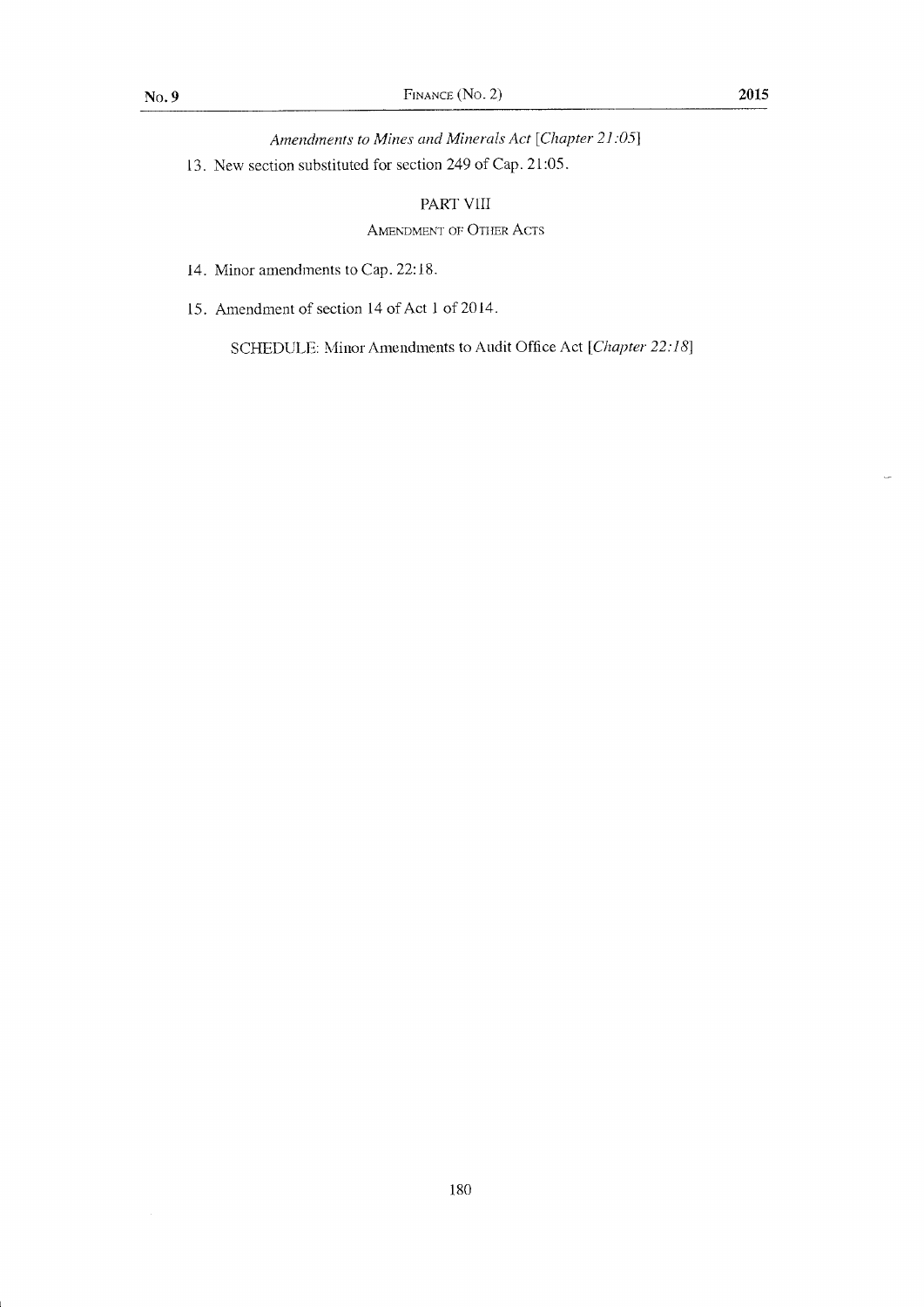Amendments to Mines and Minerals Act [Chapter 21:05]

13. New section substituted for section 249 of Cap. 21:05.

# PART VIII

# AMENDMENT OF OTHER ACTS

- 14. Minor amendments to Cap. 22:18.
- 15. Amendment of section 14 of Act 1 of 2014.

SCHEDULE: Minor Amendments to Audit Office Act [Chapter 22:18]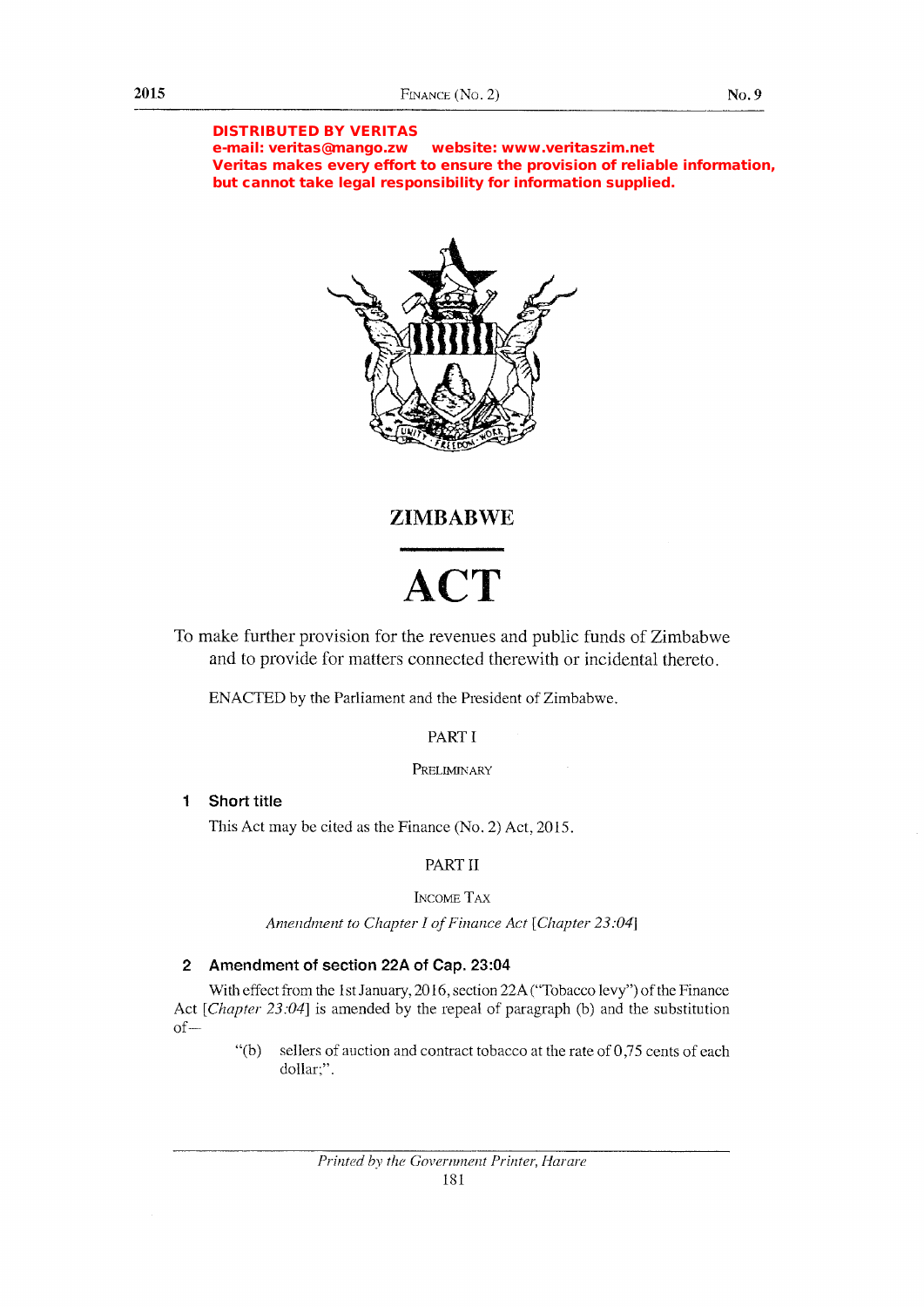#### DISTRIBUTED BY VERITAS

e-mail: veritas@mango.zw website: www.veritaszim.net Veritas makes every effort to ensure the provision of reliable information, but cannot take legal responsibility for information supplied.



# ZIMBABWE

# ACT

To make further provision for the revenues and public funds of Zimbabwe and to provide for matters connected therewith or incidental thereto.

ENACTED by the Parliament and the President of Zimbabwe.

# PART I

PRELIMINARY

#### $\mathbf{1}$ Short title

This Act may be cited as the Finance  $(N<sub>o</sub>, 2)$  Act, 2015.

# PART II

# INCOME TAX

Amendment to Chapter I of Finance Act [Chapter 23:04]

# 2 Amendment of section 22A of Cap. 23:04

With effect from the 1st January, 2016, section 22A ("Tobacco levy") of the Finance Act [Chapter  $23:04$ ] is amended by the repeal of paragraph (b) and the substitution  $of-$ 

> "(b) sellers of auction and contract tobacco at the rate of  $0,75$  cents of each dollar:".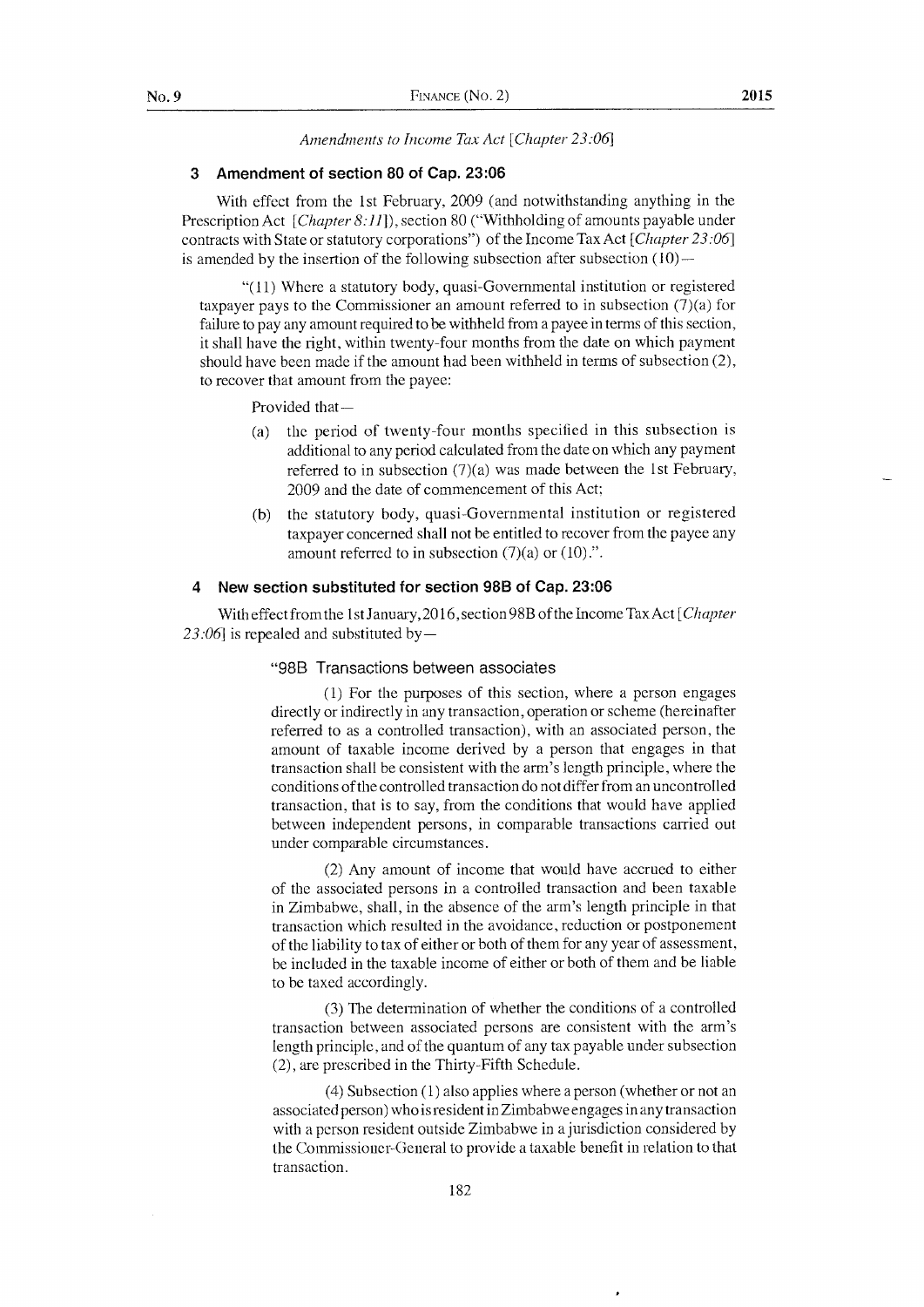Amendments to Income Tax Act [Chapter 23:06]

#### 3 Amendment of section 80 of Cap.23:06

With effect from the lst February,2009 (and notwithstanding anything in the Prescription Act [Chapter 8:11]), section 80 ("Withholding of amounts payable under contracts with State or statutory corporations") of the Income Tax Act [*Chapter* 23:06] is amended by the insertion of the following subsection after subsection  $(10)$ -

"(11) Where a statutory body, quasi-Governmental institution or registered taxpayer pays to the Commissioner an amount referred to in subsection (7)(a) for failure to pay any amount required to be withheld from a payee in terms of this section, it shall have the right, within twenty-four months from the date on which payment should have been made if the amount had been withheld in terms of subsection (2), to recover that amount from the payee:

Provided that-

- (a) the period of twenty-four months specified in this subsection is additional to any period calculated from the date on which any payment referred to in subsection (7)(a) was made between the lst February, 2009 and the date of commencement of this Act;
- (b) the statutory body, quasi-Governmental institution or registered taxpayer concerned shall not be entitled to recover from the payee any amount referred to in subsection  $(7)(a)$  or  $(10)$ .".

#### 4 New section substituted for section 988 of Cap. 23:06

With effect from the 1st January, 2016, section 98B of the Income Tax Act [Chapter 23:06] is repealed and substituted by-

#### "988 Transactions between associates

 $(1)$  For the purposes of this section, where a person engages directly or indirectly in any transaction, operation or scheme (hereinafter referred to as a controlled transaction), with an associated person, the amount of taxable income derived by a person that engages in that transaction shall be consistent with the arm's length principle, where the conditions of the controlled transaction do not differ from an uncontrolled transaction, that is to say, from the conditions that would have applied between independent persons, in comparable transactions carried out under comparable circumstances.

(2) Any amount of income that would have accrued to either of the associated persons in a controlled transaction and been taxable in Zimbabwe, shall, in the absence of the arm's length principle in that transaction which resulted in the avoidance, reduction or postponement of the liability to tax of either or both of them for any year of assessment, be included in the taxable income of either or both of them and be liable to be taxed accordingly.

(3) The determination of whether the conditions of a controlled transaction between associated persons are consistent with the arm's length principle, and of the quantum of any tax payable under subsection (2), are prescribed in the Thirty-Fifth Schedule.

 $(4)$  Subsection  $(1)$  also applies where a person (whether or not an associated person) who is resident in Zimbabwe engages in any transaction with a person resident outside Zimbabwe in a jurisdiction considered by the Comnrissioner-General to provide a taxable benefit in relation to that transaction.

182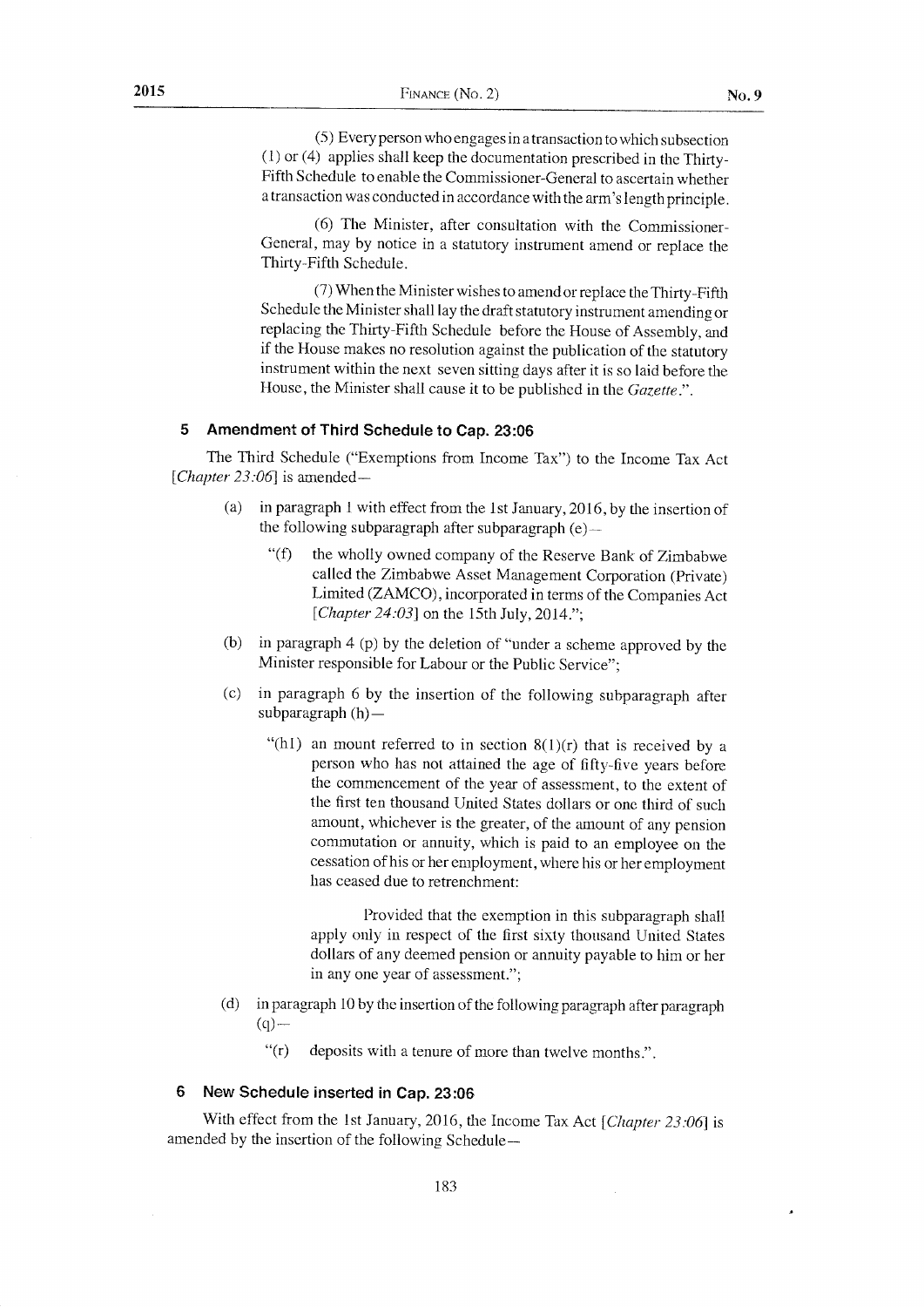(5) Everyperson whoengages in atransaction to which subsection (l) or (4) applies shall keep the documentation prescribed in the Thirty-Fifth Schedule to enable the Commissioner-General to ascertain whether a transaction was conducted in accordance with the arm's length principle.

(6) The Minister, after consultation with the Commissioner\_ General, may by notice in a statutory instrument amend or replace the Thirty-Fifth Schedule.

 $(7)$  When the Minister wishes to amend or replace the Thirty-Fifth Schedule the Minister shall lay the draft statutory instrument amending or replacing the Thirty-Fifth Schedule before the House of Assembly, and if the House makes no resolution against the publication of the statutory instrument within the next seven sitting days after it is so laid before the House, the Minister shall cause it to be published in the *Gazette*.".

#### 5 Amendment of Third Schedule to Cap. 23:06

The Third Schedule ("Exemptions from Income Tax") to the Income Tax Act [*Chapter 23:06*] is amended-

- (a) in paragraph I with effect from the lst January, 2016, by the insertion of the following subparagraph after subparagraph  $(e)$ -
	- "(f) the wholly owned company of the Reserve Bank of Zimbabwe called the Zimbabwe Asset Management Corporation (private) Limited (ZAMCO), incorporated in terms of the Companies Act [Chapter 24:03] on the 15th July, 2014.";
- (b) in paragraph 4 (p) by the deletion of "under a scheme approved by the Minister responsible for Labour or the Public Service";
- (c) in paragraph 6 by the insertion of the following subparagraph afrer subparagraph (h) -
	- "(h1) an mount referred to in section  $8(1)(r)$  that is received by a person who has not attained the age of fifty-five years before the commencement of the year of assessment, to the extent of the first ten thousand United States dollars or one third of such amount, whichever is the greater, of the amount of any pension commutation or annuity, which is paid to an employee on the cessation of his or her employment, where his or her employment has ceased due to retrenchment:

Provided that the exemption in this subparagraph shall apply only in respect of the first sixty thousand United States dollars of any deemed pension or annuity payable to him or her in any one year of assessment.";

- (d) in paragraph 10 by the insertion of the following paragraph after paragraph  $(q)$ -
	- "(r) deposits with a tenure of more than twelve months.".

# 6 New Schedule inserted in Cap.23:06

With effect from the 1st January, 2016, the Income Tax Act [Chapter 23:06] is amended by the insertion of the following Schedule-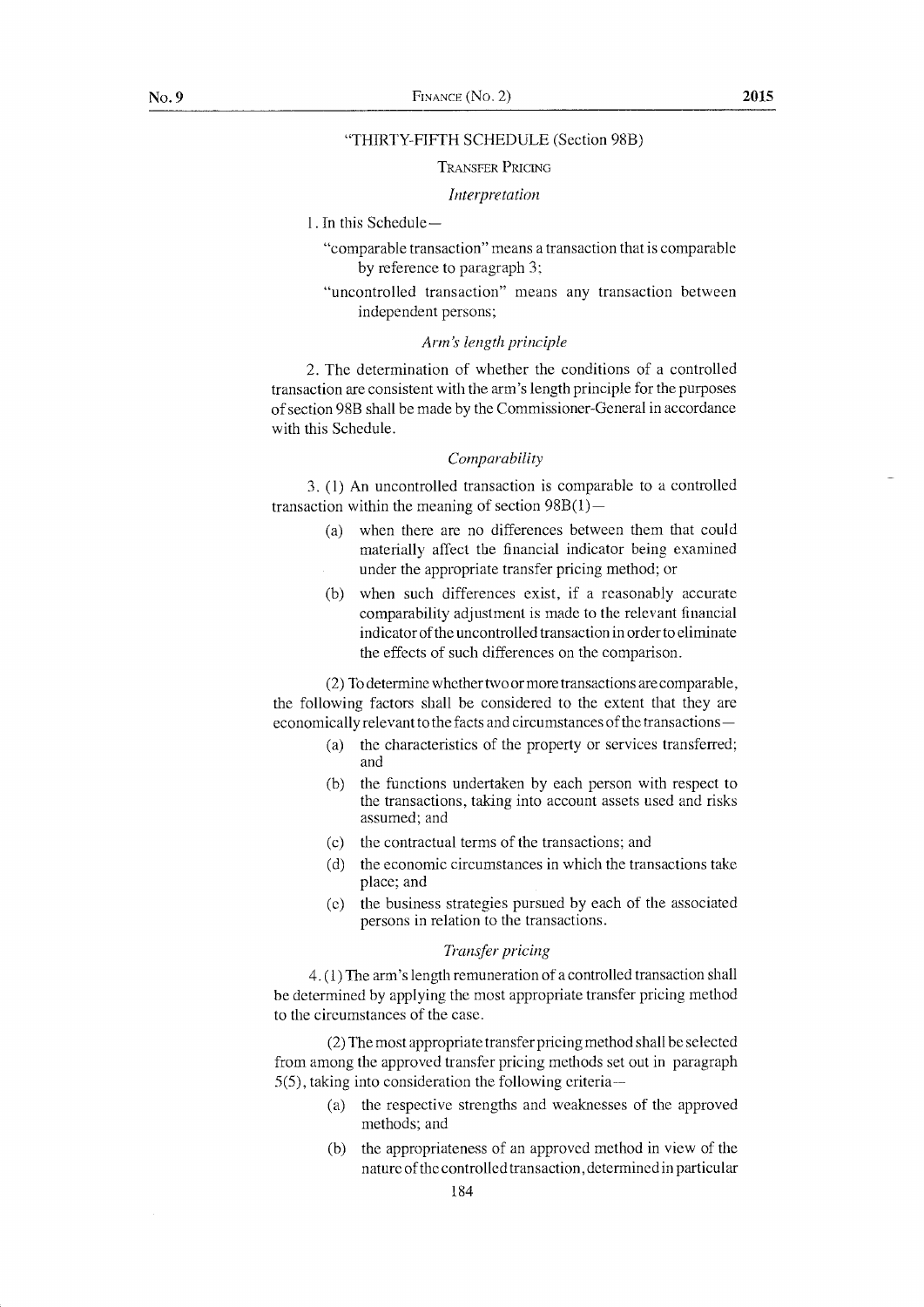#### "THIRTY-FIFTH SCHEDULE (Section 98B)

#### TRANSFER PRICING

#### Interpretation

- I . In this Schedule
	- "comparable transaction" means a transaction that is comparable by reference to paragraph 3;
	- "uncontrolled transaction" means any transaction between independent persons;

#### Arm's length principle

2. The deterrnination of whether the conditions of a controlted transaction are consistent with the arm's length principle for the purposes of section 988 shall be made by the Comrnissioner-General in accordance with this Schedule.

#### Comparability

3. (1) An uncontrolled transaction is comparable to a controlled transaction within the meaning of section  $98B(1)$ -

- (a) when there are no differences between them that could materially affect the financial indicator being examined under the appropriate transfer pricing method; or
- (b) when such differences exist, if a reasonably accurate comparability adjustment is made to the relevant financial indicator of the uncontrolled transaction in order to eliminate the effects of such differences on the comparison.

 $(2)$  To determine whether two or more transactions are comparable, the following factors shall be considered to the extent that they are economically relevant to the facts and circumstances of the fransactions -

- (a) the characteristics of the property or services transferred; and
- (b) the functions undertaken by each person with respect to the transactions, taking into account assets used and risks assumed; and
- (c) the contractual terms of the transactions; and
- (d) the economic circumstances in which the transactions take place; and
- (e) the business strategies pursued by each of the associated persons in relation to the transactions.

#### Tronsfer pricing

4. (1) The arm's length remuneration of a controlled transaction shall be determined by applying the rnost appropriate transfer pricing method to the circumstances of the case.

(2) The rnost appropriate transfer pricing method shall be selected from among the approved transfer pricing methods set out in paragraph  $5(5)$ , taking into consideration the following criteria--

- (a) the respective strengths and weaknesses of the approved methods; and
- (b) the appropriateness of an approved method in view of the nature of the controlled transaction, determined in particular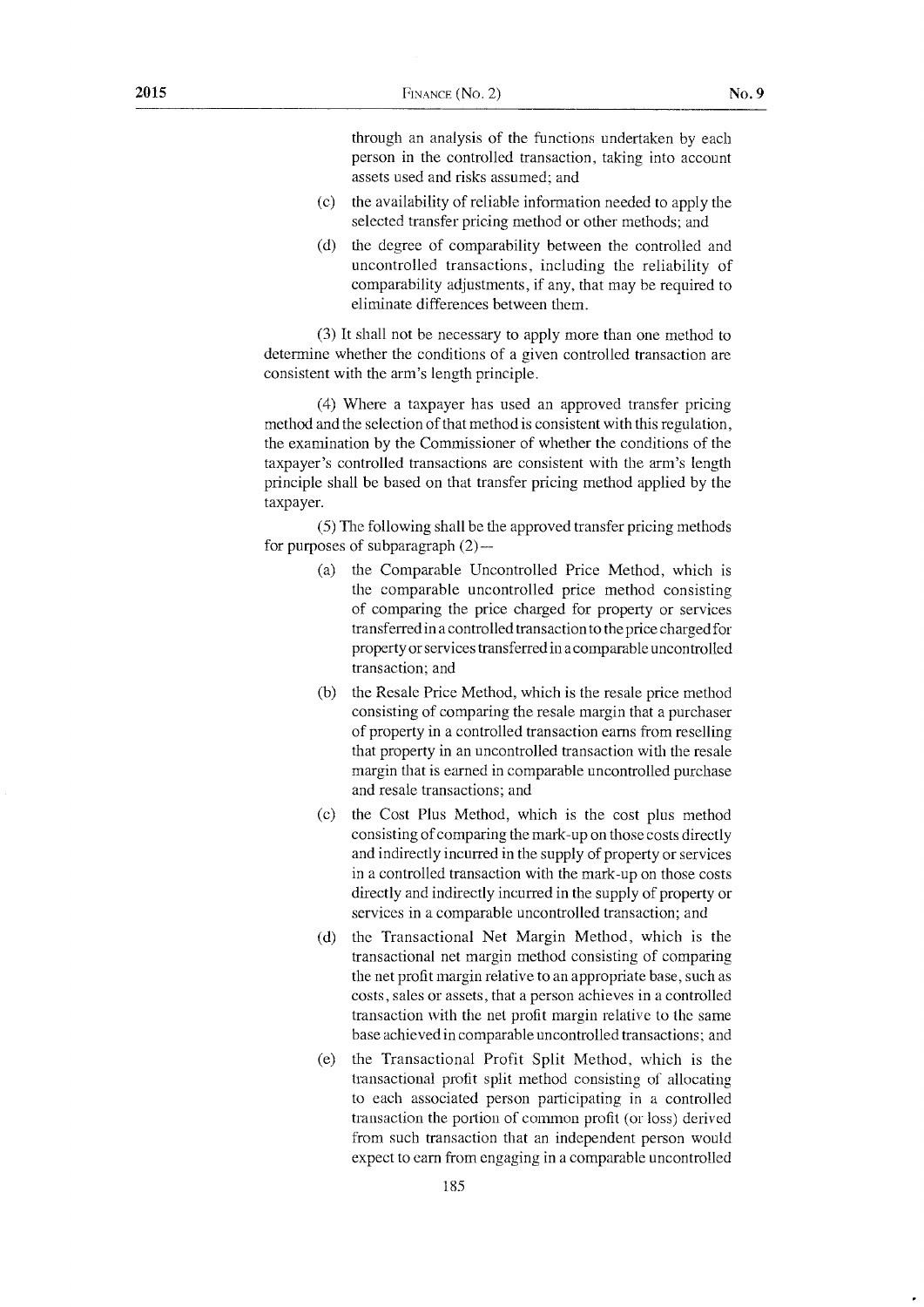through an analysis of the functions undertaken by each person in the controlled transaction, taking into account assets used and risks assumed; and

- (c) the availability of reliable information needed to apply the selected transfer pricing method or other methods; and
- (d) the degree of comparability between the controlled and uncontrolled transactions, including the reliability of comparability adjustments, if any, that may be required to eliminate differences between them.

(3) It shall not be necessary to apply more than one method to determine whether the conditions of a given controlled transaction are consistent with the arm's length principle.

(4) W'here a taxpayer has used an approved transfer pricing method and the selection of that method is consistent with this regulation, the examination by the Comnrissioner of whether the conditions of the taxpayer's controlled transactions are consistent with the arm's length principle shall be based on that transfer pricing method applied by the taxpayer.

 $(5)$  The following shall be the approved transfer pricing methods for purposes of subparagraph  $(2)$  —

- (a) the Comparable Uncontrolled Price Method, which is the comparable uncontrolled price method consisting of comparing the price charged for property or services transferred in a controlled transaction to the price chargedfor property or services transferred in a comparable uncontrolled transaction: and
- (b) the Resale Price Method, which is the resale price method consisting of comparing the resale margin that a purchaser of property in a controlled transaction earns from reselling that property in an uncontrolled transaction with the resale margin that is earned in comparable uncontrolled purchase and resale transactions; and
- (c) the Cost Plus Method, which is the cost plus method consisting of comparing the mark-up on those costs directly and indirectly incurred in the supply of property or services in a controlled transaction with the mark-up on those costs directly and indirectly incurred in the supply of property or services in a comparable uncontrolled transaction; and
- (d) the Transactional Net Margin Method, which is the transactional net margin method consisting of comparing the net prafit margin relative to an appropriate base, such as costs , sales or assets, that a person achieves in a controlled transaction with the net profit margin relative to the same base achieved in comparable uncontrolled transactions; and
- (e) the Transactional Profit Split Method, which is the transactional profit split method consisting of allocating to each associated person participating in a controlled transaction the portion of common profit (or loss) derived from such transaction that an independent person would expect to earn from engaging in a comparable uncontrolled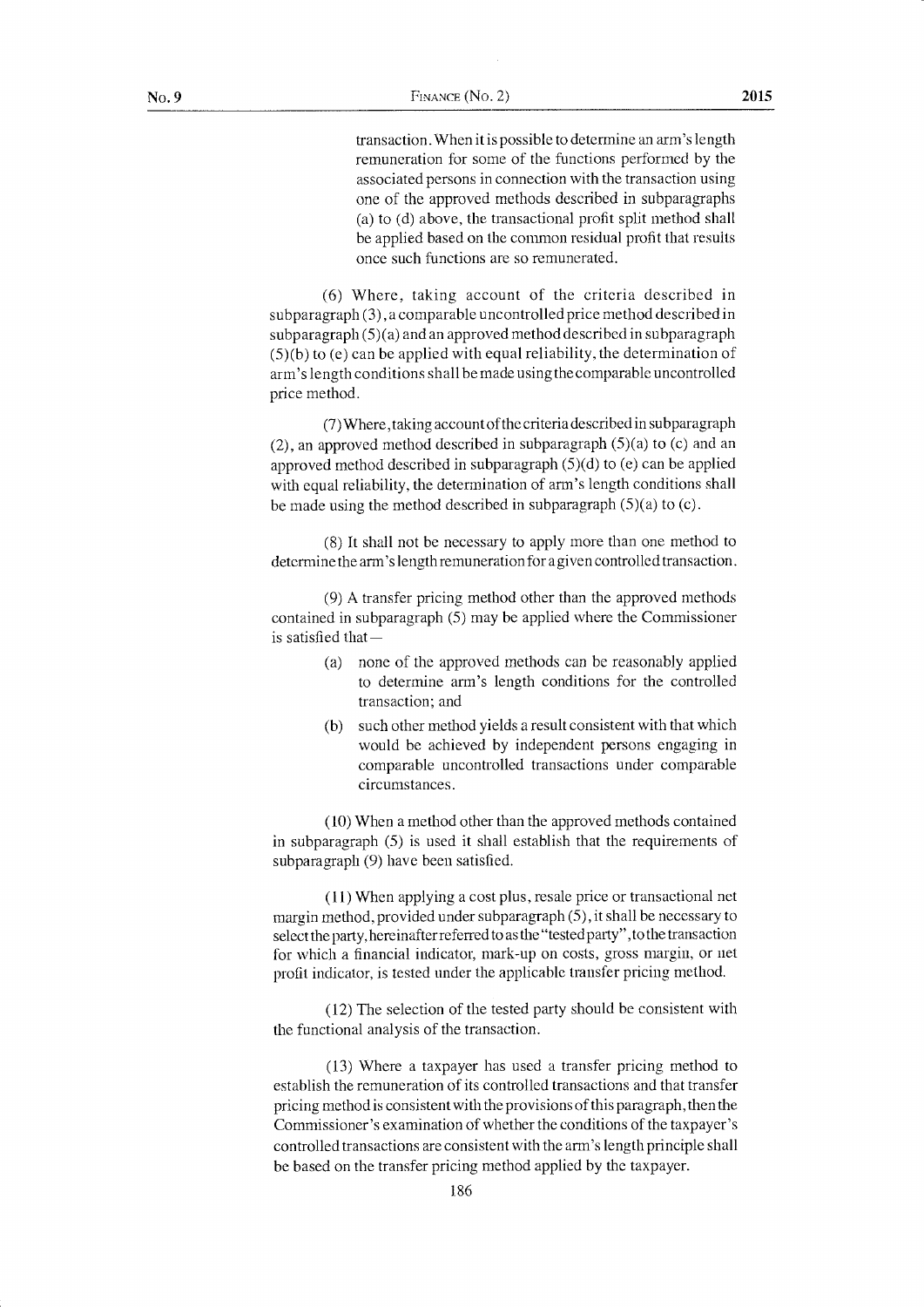transaction. When it is possible to determine an arm's length remuneration for some of the functions performed by the associated persons in connection with the transaction using one of the approved methods describecl in subparagraphs (a) to (d) above, the transactional profit split method shall be applied based on the common residual profit that results once such functions are so remunerated.

(6) Where, taking account of the criteria described in subparagraph (3), a comparable uncontrolled price method described in  $subparagnh (5)(a)$  and an approved method described in subparagraph  $(5)(b)$  to (e) can be applied with equal reliability, the determination of arm's length conditions shall be made using the comparable uncontrolled price method.

(7) Where, taking account of the criteria described in subparagraph  $(2)$ , an approved method described in subparagraph  $(5)(a)$  to  $(c)$  and an approved method described in subparagraph  $(5)(d)$  to (e) can be applied with equal reliability, the determination of arm's length conditions shall be made using the method described in subparagraph  $(5)(a)$  to  $(c)$ .

(8) It shall not be necessary to apply rnore than one method to determine the arm's length remuneration for a given controlled transaction.

 $(9)$  A transfer pricing method other than the approved methods contained in subparagraph (5) may be applied where the Commissioner is satisfied that-

- (a) none of the approved methods can be reasonably applied to determine arrn's length conditions for the controlled transaction; and
- (b) such other method yields a result consistent with that which would be achieved by independent persons engaging in comparable uncontrolled transactions under comparable circumstances.

 $(10)$  When a method other than the approved methods contained in subparagraph (5) is used it shall establish that the requirements of subparagraph (9) have been satisfied.

( 11) When applying a cost plus, resale price or transactional net margin method, provided under subparagraph (5), it shall be necessary to select the party, hereinafter referred to as the "tested party", to the transaction for which a financial indicator, mark-up on costs, gross margin, or net profit indicator, is tested under the applicable transler pricing method.

 $(12)$  The selection of the tested party should be consistent with the functional analysis of the transaction.

(13) Where a taxpayer has used a transfer pricing method to establish the remuneration of its controlled transactions and that transfer pricing method is consistent with the provisions of this paragraph, then the Commissioner's examination of whether the conditions of the taxpayer's controlled transactions are consistent u'ith the arm's length principle shall be based on the transfer pricing method applied by the taxpayer.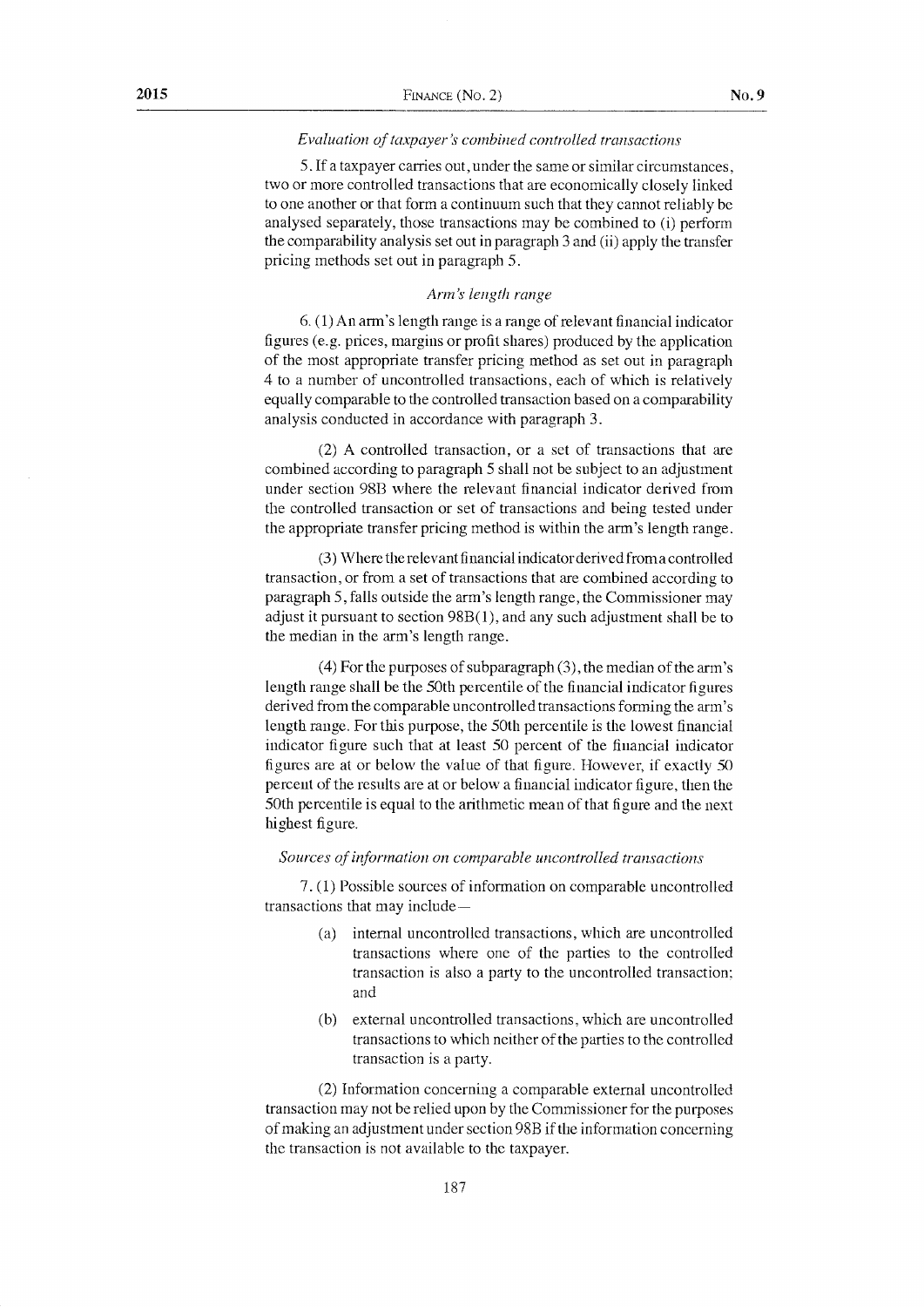#### Evaluation of taxpayer's combined controlled transactions

5. If a taxpayer carries out, under the same or similar circumstances, two or more controlled transactions that are economically closely linked to one another or that form a continuum such that they cannot reliably be analysed separately, those transactions may be combined to (i) perform the comparability analysis set out in paragraph 3 and (ii) apply the transfer pricing methods set out in paragraph 5.

#### Arm's length range

6. (1) An arm's length range is a range of relevant financial indicator figures (e.g. prices, margins or profit shares) produced by the application of the most appropriate transfer pricing method as set out in paragraph 4 to a number of uncontrolled transactions, each of which is relatively equally comparable to the controlled transaction based on a comparability analysis conducted in accordance with paragraph 3.

(2) A controlled transaction, or a set of transactions that are combined according to paragraph 5 shall not be subject to an adjustment under section 98B where the relevant financial indicator derived from the controlled transaction or set of transactions and being tested under the appropriate transfer pricing method is within the arm's length range.

(3) Where the relevant financial indicator derived from a controlled transaction, or from a set of transactions that are combined according to paragraph 5, falls outside the arm's length range, the Commissioner may adjust it pursuant to section  $98B(1)$ , and any such adjustment shall be to the median in the arm's length range.

 $(4)$  For the purposes of subparagraph  $(3)$ , the median of the arm's length range shall be the 50th percentile of the financial indicator figures derived from the comparable uncontrolled transactions forming the arm's length range. For this purpose, the 50th percentile is the lowest financial indicator figure such that at least 50 percent of the financial indicator figures are at or below the value of that figure. However, if exactly 50 percent of the results are at or below a financial indicator figure, then the 50th percentile is equal to the arithmetic mean of that figure and the next highest figure.

#### Sources of information on comparable uncontrolled transactions

7. (1) Possible sources of information on comparable uncontrolled transactions that may include-

- internal uncontrolled transactions, which are uncontrolled  $(a)$ transactions where one of the parties to the controlled transaction is also a party to the uncontrolled transaction; and
- external uncontrolled transactions, which are uncontrolled  $(b)$ transactions to which neither of the parties to the controlled transaction is a party.

(2) Information concerning a comparable external uncontrolled transaction may not be relied upon by the Commissioner for the purposes of making an adjustment under section 98B if the information concerning the transaction is not available to the taxpayer.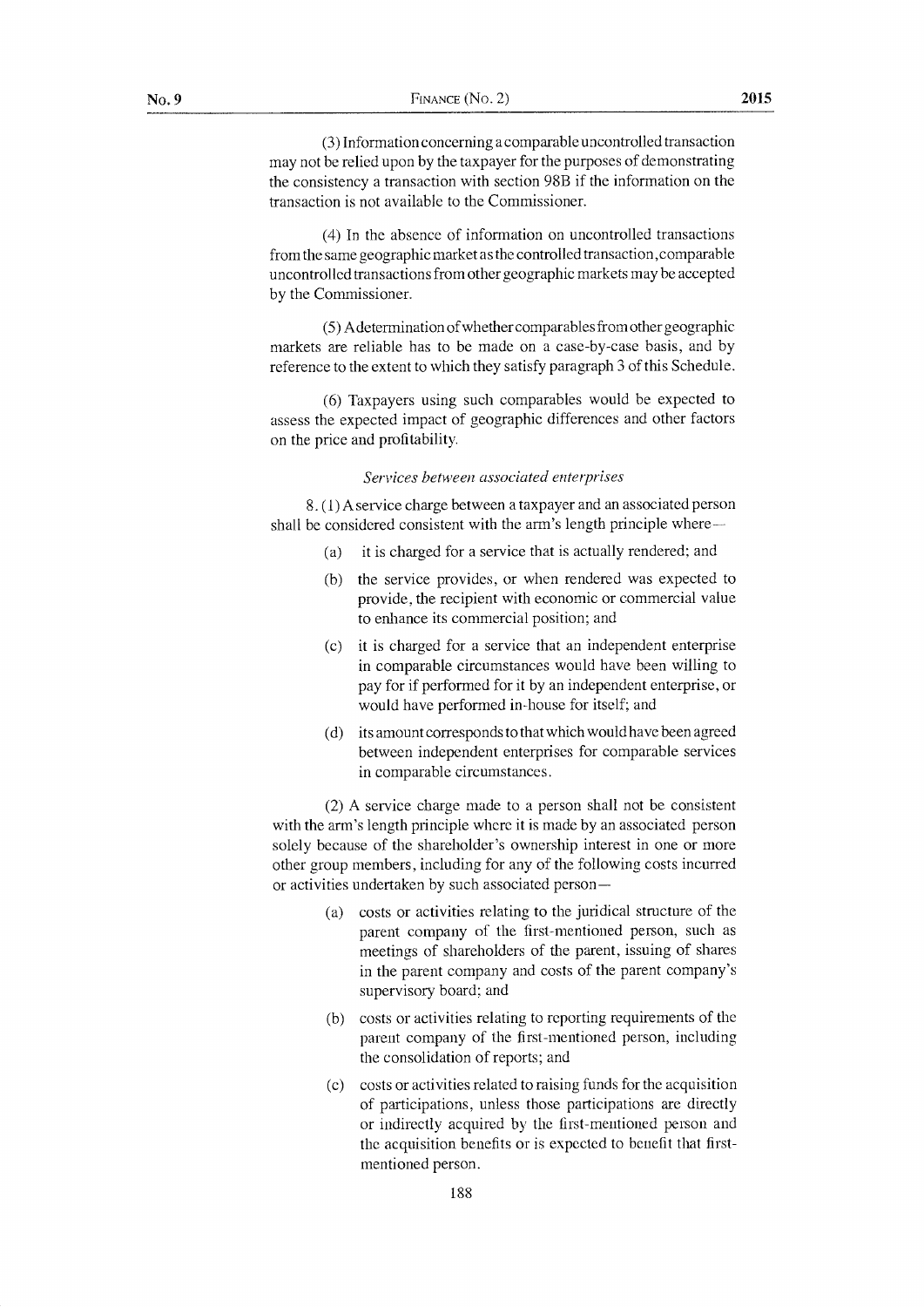(3) Information concerning a comparable uncontrollecl transaction may not be relied upon by the taxpayer for the purposes of demonstrating the consistency a transaction with section 9BB if the information on the transaction is not available to the Commissioner.

{4) In the absence of information on uncontrolled transactions from the same geographic market as the controlled transaction, comparable uncontrolled transactions from othergeographic markets may be accepted by the Commissioner.

(5) A determination of whether comparables from other geographic markets are reliable has to be made on a case-by-case basis, and by reference to the extent to which they satisfy paragraph 3 of this Schedule.

(6) Taxpayers using such comparables would be expected to assess the expected innpact of geographic differences and other factors on the price and profitability.

#### Services between associated enterprises

8. ( I ) A service charge between a taxpayer and an associated person shall be considered consistent with the arm's length principle where-

- (a) it is charged for a service that is actually rendered; and
- (b) the service provides, or when rendered was expected to provide, the recipient with economic or commercial value to enhance its commercial position; and
- $(c)$  it is charged for a service that an independent enterprise in comparable circumstances would have been willing to pay for if performecl for it by an independent enterprise, or would have performed in-house for itself; and
- (d) its amount corresponds to that which would have been agreed between independent enterprises for comparable services in comparable circumstances.

(2) A service charge made to a person shall not be consistent with the arm's length principle where it is made by an associated person solely because of the shareholder's ownership interest in one or more other group members, including for any of the following costs incurred or activities undertaken by such associated person -

- (a) costs or activities relating to the juridical structure of the parent company of the first-mentioned person, such as meetings of shareholders of the parent, issuing of shares in the parent company and costs of the parent company's supervisory board; and
- (b) costs or activities relating to reporting requirements of the parent company of the first-mentioned person, including the consolidation of reports; and
- (c) costs or activities related to raising funds for the acquisition of participations, unless those participations are directly or indirectly acquired hy the first-mentioned person and the acquisition benefits or is expected to benefit that firstmentioned person.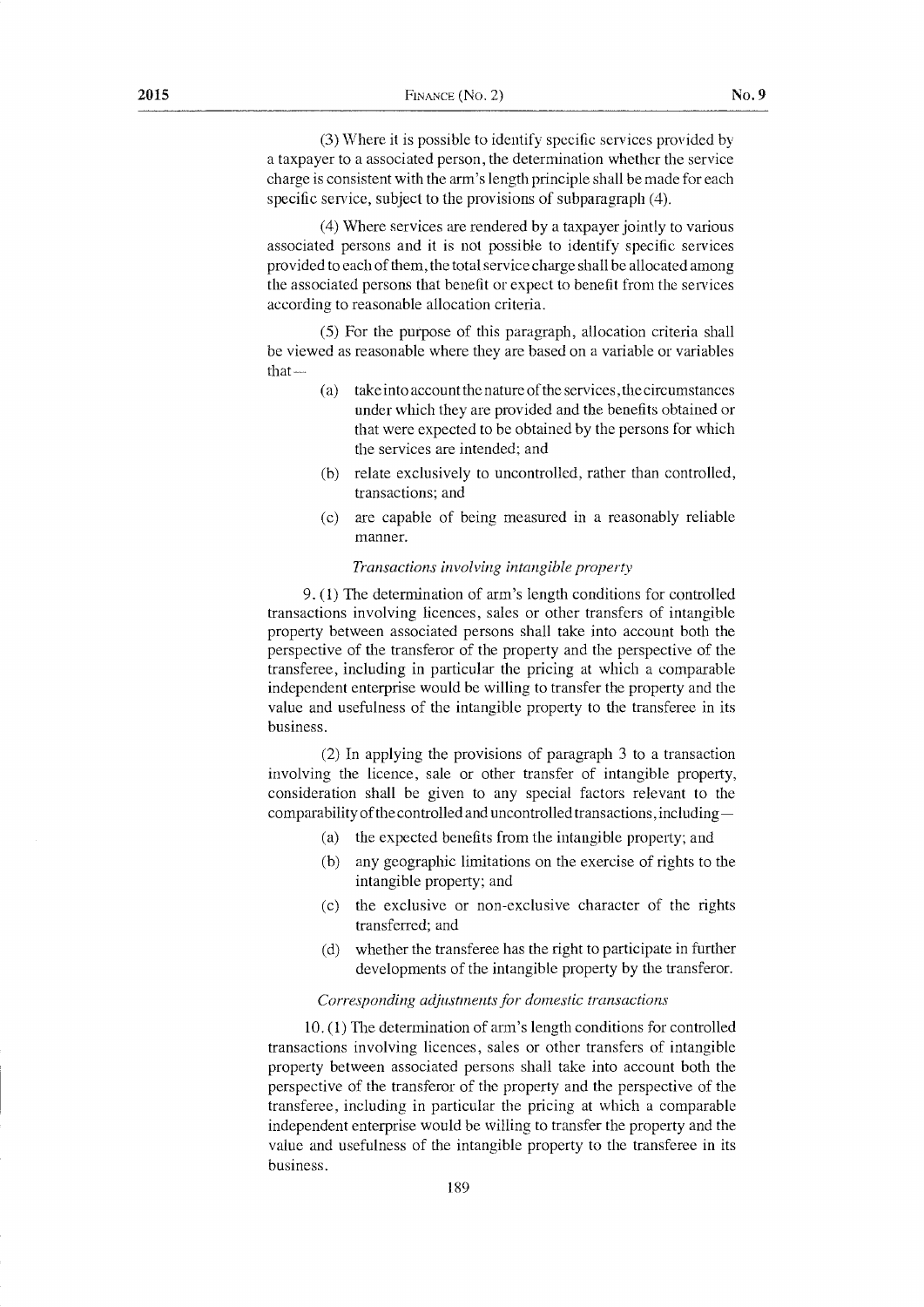(3) Where it is possible to identity' specific services provided by a taxpayer to a associated person, the determination whether the service charge is consistent with the arrn's length principle shall be made for each specific service, subject to the provisions of subparagraph (4).

 $(4)$  Where services are rendered by a taxpayer jointly to various associated persons and it is not possible to identify specific services provided to each of thern, the total service charge shall be allocated among the associated persons that benefit or expect to benefit from the services according to reasonable allocation criteria.

(5) For the purpose of this paragraph, allocation criteria shall be viewed as reasonable where they are based on a variable or variables  $that-$ 

- $(a)$  take into account the nature of the services, the circumstances under which they are provided and the benefits obtained or that were expected to be obtained by the persons for which the services are intended; and
- (b) relate exclusively to uncontrolled, rather than controlled, transactions; and
- (c) are capable of being measured in a reasonably reliable manner.

#### Transactions involving intangible property

9, (1) The determination of arm's length conditions for controlled transactions involving licences, sales or other transfers of intangible property between associated persons shall take inio account both the perspective of the transferor of the property and the perspective of the transferee, including in particular the pricing at which a comparable independent enterprise would be willing to transfer the property and the value and usefulness of the intangible property to the transferee in its business.

 $(2)$  In applying the provisions of paragraph 3 to a transaction involving the licence, sale or other transfer of intangible property, consideration shall be given to any special factors relevant to the comparability of the controlled and uncontrolled transactions, including -

- (a) the expected benefits from the intangible property; and
- (b) any geographic lirnitations on the exercise of rights to the intangible property; and
- (c) the exclusive or non-exclusive character of the rights transferred; and
- (d) whether the transferee has the right to participate in further developments of the intangible property by the transferor.

#### Corresponding adjustments for domestic transactions

10. ( 1) The determination of arm's length conditions for controlled transactions involving licences, sales or other transfers of intangible property between associated persons shall take into account both the perspective of the transferor of the property and the perspective of the transferee, including in particular the pricing at which a comparable independent enterprise would be willing to transfer the property and the value and usefulness of the intangible property to the transferee in its business.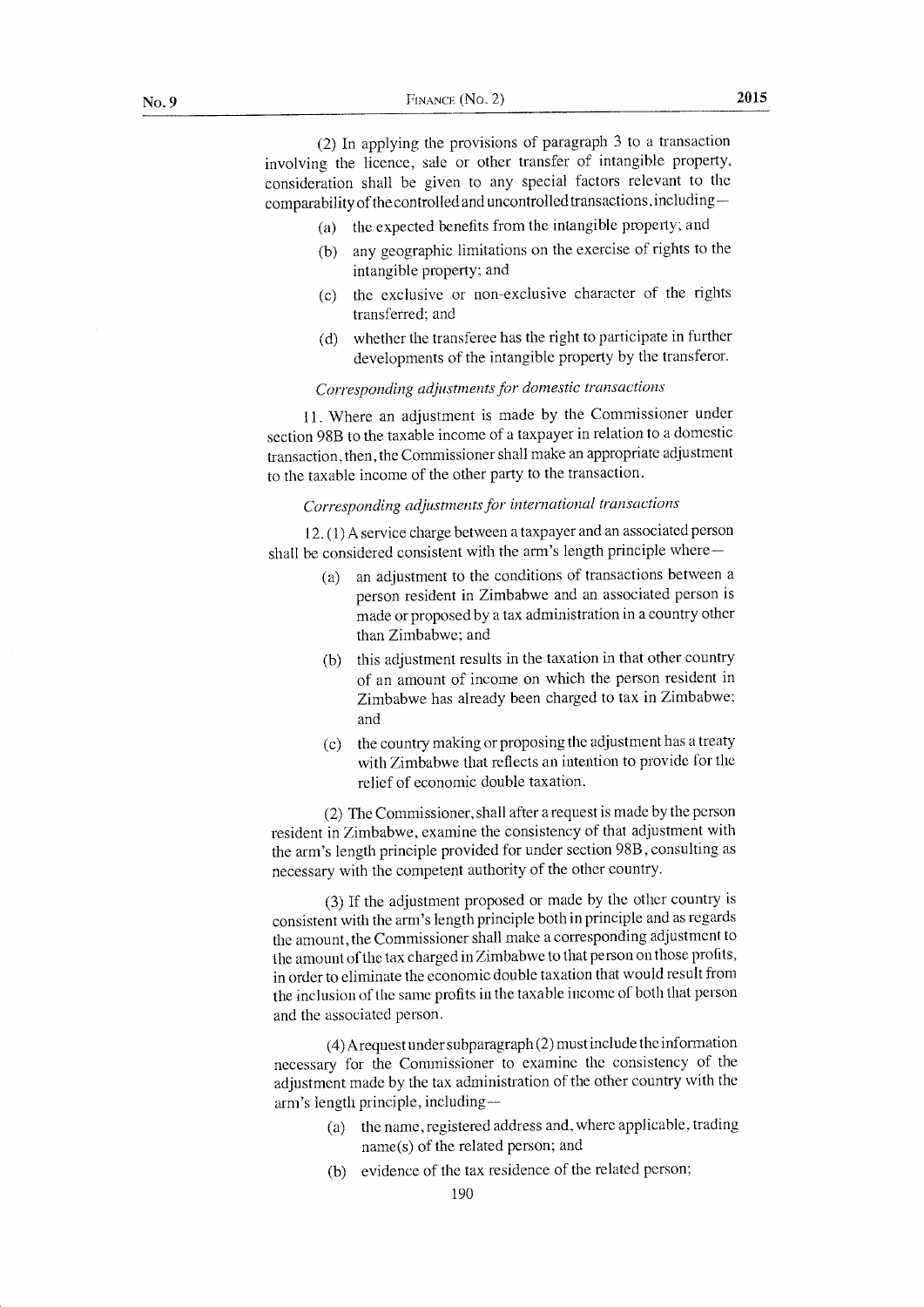(2) In applying the provisions of paragraph 3 to a transaction involving the licence, sale or other transfer of intangible property, consideration shall be given to any special factors relevant to the comparability of the controlled and uncontrolled transactions, including–

- (a) the expected benefits from the intangible property; ancl
- (b) any geographic limitations on the exercise of rights to the intangible property; and
- (c) the exclusive or non-exclusive character of the rights transferred; and
- (d) whether the transferee has the right to participate in further developments of the intangible property by the transferor.

#### Corresponding adjustments for domestic transactions

11. Where an adjustment is made by the Commissioner under section 98B to the taxable income of a taxpayer in relation to a domestic transaction, then, the Commissioner shall make an appropriate adjustment to the taxable incorne of the other party to the transaction.

# Corresponding adjustments for international transactions

L2.(1) A service charge between a taxpayer and an associated person shall be considered consistent with the arm's length principle where-

- (a) an adjustment to the conditions of transactions between <sup>a</sup> person resident in Zimbabwe and an associated person is made or proposed by a tax administration in a country other than Zimbabwe; and
- (b) this adjustment results in the taxation in that other country of an amount of income on which the person resident in Zimbabwe has already been charged to tax in Zimbabwe; and
- (c) the country making or proposing the adjustment has a treaty with Zimbabwe that reflects an intention to provide for the relief of economic double taxation.

(2) The Commissioner, shall after a request is made by the person resident in Zimbabwe, examine the consistency of that adjustment with the arm's length principle provided for under section 988, consulting as necessary with the competent authority of the other country.

(3) If the adjustment proposed or made by the other country is consistent with the arm's length principle both in principle and as regards the amount, the Comrnissioner shall make a corresponding adjustrnent to the amount of the tax charged in Zimbabwe to that person on those profits, in order to eliminate the economic double taxation that would result from the inclusion of the same profits in the taxable income of both that person and the associated person.

(4) Arequestunder subparagraph (2) must include the information necessary for the Commissioner to exanrine the consistency of the adjustment made by the tax administration of the other country with the arm's length principle, including—

- $(a)$  the name, registered address and, where applicable, trading narne(s) of the related person; and
- (b) evidence of the tax residence of the related person;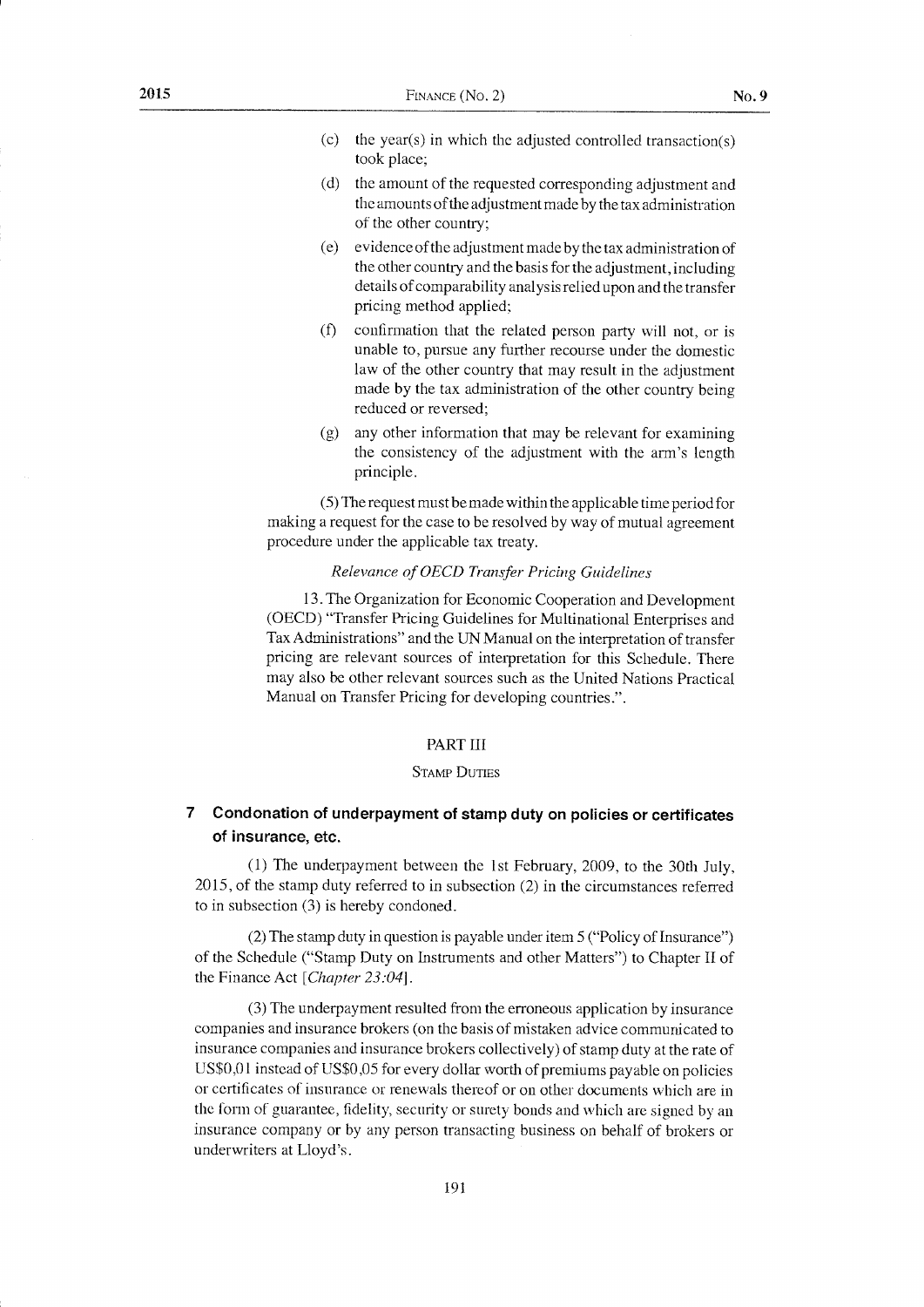- (c) the year(s) in which the adjusted controlled transaction(s) took place;
- (d) the amount of the requested corresponding adjustment and the amounts of the adjustment made by the tax administration of the other country;
- (e) evidence of the adjustment rnade by the tax administration of the other country and the basis for the adjustment, including details of comparability analysis relied upon and the transfer pricing method applied;
- $(0)$  confirmation that the related person party will not, or is unable to, pursue any further recourse under the domestic law of the other country that may result in the adjustment made by the tax administration of the other country being reduced or reversed;
- $(g)$  any other information that may be relevant for examining the consistency of the adjustment with the arm's length principle.

(5) The request rnust be made within the applicable time period for making a request for the case to be resolved by way of mutual agreement procedure under the applicable tax treaty.

### Relevance of OECD Transfer Pricing Guidelines

13, The Organization for Economic Cooperation and Development (OECD) "Transfer Pricing Guidelines for Multinational Enterprises and Tax Administrations" and the UN Manual on the interpretation of transfer pricing are relevant sources of interpretation for this Schedule. There may also be other relevant sources such as the United Nations Practical Manual on Transfer Pricing for developing countries.".

#### PART III

#### **STAMP DUTIES**

# 7 Condonation of underpayment of stamp duty on policies or certificates of insurance, ete.

(1) The underpayment between the lst February, 2009, to the 30th July, 2015, of the stamp duty referred to in subsection (2) in the circumstances referred to in subsection (3) is hereby condoned.

 $(2)$  The stamp duty in question is payable under item 5 ("Policy of Insurance") of the Schedule ("Stamp Duty on Instruments and other Matters") to Chapter II of the Finance Act [Chapter 23:04].

(3) The underpayment resulted from the erroneous application by insurance companies and insurance brokers (on the basis of mistaken advice communicated to insurance companies and insurance brokers collectively) of stamp duty at the rate of US\$0,01 instead of US\$0,05 for every dollar worth of premiums payable on policies or certificates of insurance or renewals thereof or on other documents which are in the form of guarantee, fidelity, security or surety bonds and which are signed by an insurance company or by any person transacting business on behalf of brokers or underwriters at Lloyd's,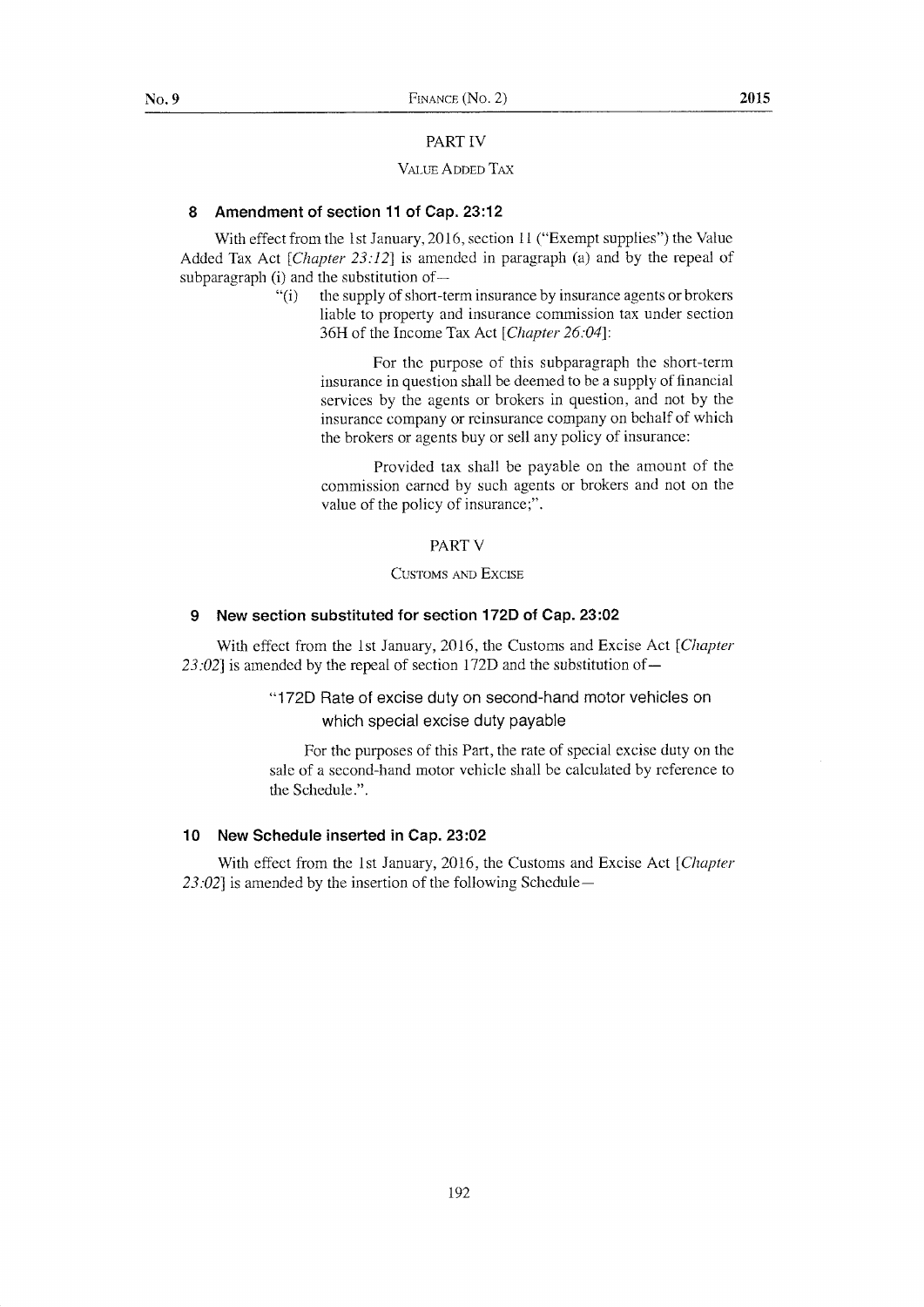#### PARTIV

#### VALUE ADDED TAX

## 8 Amendment of section 11 of Cap. 23:12

With effect from the 1st January, 2016, section 11 ("Exempt supplies") the Value Added Tax Act [Chapter  $23:12$ ] is amended in paragraph (a) and by the repeal of subparagraph (i) and the substitution of-

> "(i) the supply of short-term insurance by insurance agents or brokers" liable to property and insurance commission tax under section 36H of the Income Tax Act [Chapter 26:04]:

For the purpose of this subparagraph the short-term insurance in question shall be deemed to be a supply of financial services by the agents or brokers in question, and not by the insurance company or reinsurance company on behalf of which the brokers or agents buy or sell any policy of insurance:

Provided tax shall be payable on the amount of the commission earned by such agents or brokers and not on the value of the policy of insurance;".

#### **PART V**

#### CUSTOMS AND EXCISE

#### 9 New section substituted for section 172D of Cap. 23:02

With effect from the 1st January, 2016, the Customs and Excise Act [Chapter 23:02] is amended by the repeal of section 172D and the substitution of $-$ 

# "172D Rate of excise duty on second-hand motor vehicles on which special excise duty payable

For the purposes of this Part, the rate of special excise duty on the sale of a second-hand motor vehicle shall be calculated by reference to the Schedule.".

#### 10 New Schedule inserted in Cap. 23:02

With effect from the 1st January, 2016, the Customs and Excise Act [Chapter]  $23:02$  is amended by the insertion of the following Schedule-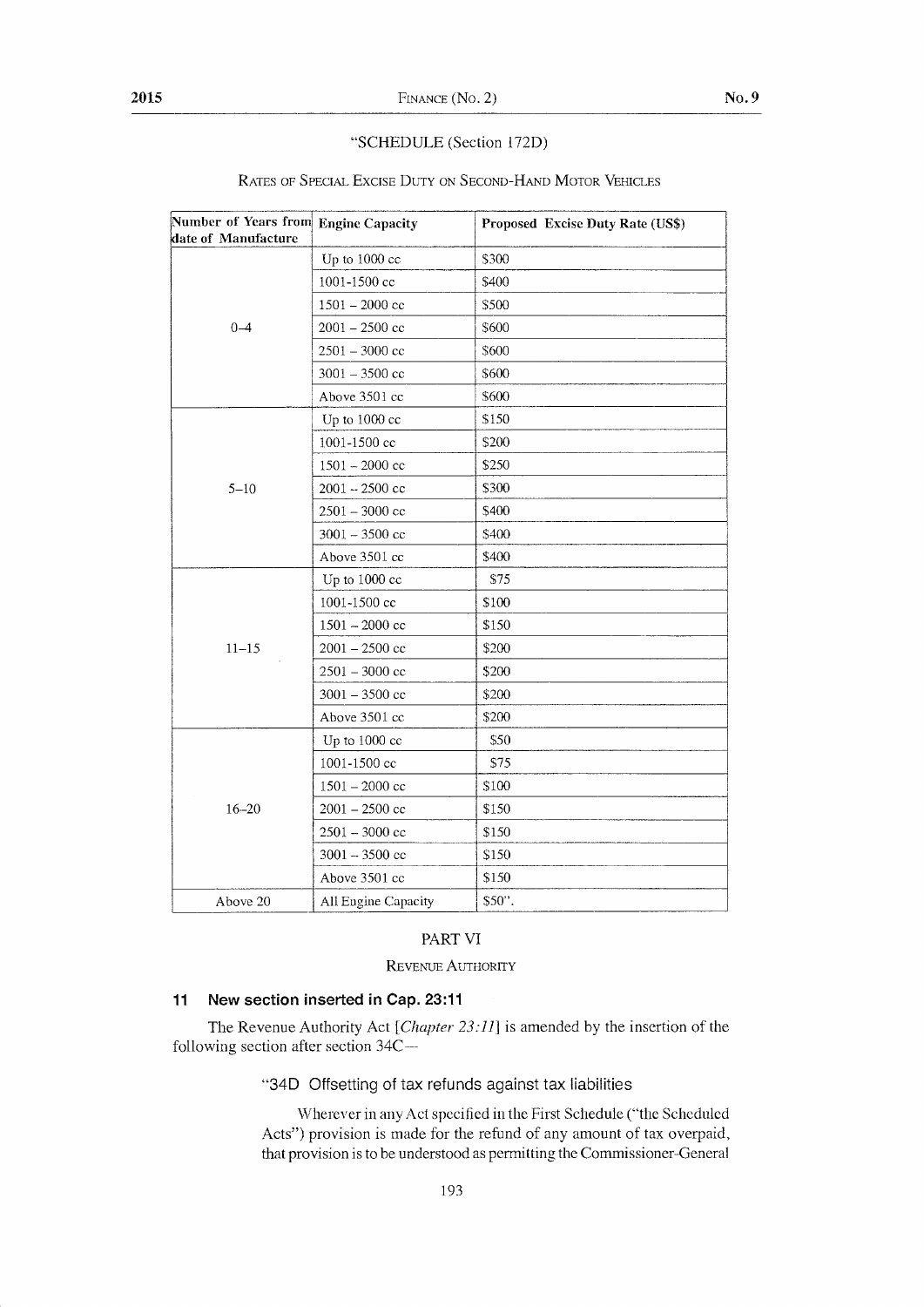#### "SCHEDULE (Section 172D)

| Number of Years from Engine Capacity<br>date of Manufacture |                     | Proposed Excise Duty Rate (US\$) |
|-------------------------------------------------------------|---------------------|----------------------------------|
| $0 - 4$                                                     | Up to 1000 cc       | \$300                            |
|                                                             | 1001-1500 cc        | \$400                            |
|                                                             | $1501 - 2000$ cc    | \$500                            |
|                                                             | $2001 - 2500$ cc    | \$600                            |
|                                                             | $2501 - 3000$ cc    | \$600                            |
|                                                             | $3001 - 3500$ cc    | \$600                            |
|                                                             | Above 3501 cc       | \$600                            |
| $5 - 10$                                                    | Up to 1000 cc       | \$150                            |
|                                                             | 1001-1500 cc        | \$200                            |
|                                                             | $1501 - 2000$ cc    | \$250                            |
|                                                             | $2001 - 2500$ cc    | \$300                            |
|                                                             | $2501 - 3000$ cc    | \$400                            |
|                                                             | $3001 - 3500$ cc    | \$400                            |
|                                                             | Above 3501 cc       | \$400                            |
| $11 - 15$                                                   | Up to 1000 cc       | \$75                             |
|                                                             | 1001-1500 cc        | \$100                            |
|                                                             | $1501 - 2000$ cc    | \$150                            |
|                                                             | $2001 - 2500$ cc    | \$200                            |
|                                                             | $2501 - 3000$ cc    | \$200                            |
|                                                             | $3001 - 3500$ cc    | \$200                            |
|                                                             | Above 3501 cc       | \$200                            |
| $16 - 20$                                                   | Up to 1000 cc       | \$50                             |
|                                                             | 1001-1500 cc        | \$75                             |
|                                                             | $1501 - 2000$ cc    | \$100                            |
|                                                             | $2001 - 2500$ cc    | \$150                            |
|                                                             | $2501 - 3000$ cc    | \$150                            |
|                                                             | $3001 - 3500$ cc    | \$150                            |
|                                                             | Above 3501 cc       | \$150                            |
| Above 20                                                    | All Engine Capacity | \$50".                           |

#### RATES OF SPECIAL EXCISE DUTY ON SECOND-HAND MOTOR VEHICLES

### PART VI

REVENUE AUTHORITY

#### $11$ New section inserted in Cap. 23:11

The Revenue Authority Act [Chapter 23:11] is amended by the insertion of the following section after section 34C-

"34D Offsetting of tax refunds against tax liabilities

Wherever in any Act specified in the First Schedule ("the Scheduled Acts") provision is made for the refund of any amount of tax overpaid, that provision is to be understood as permitting the Commissioner-General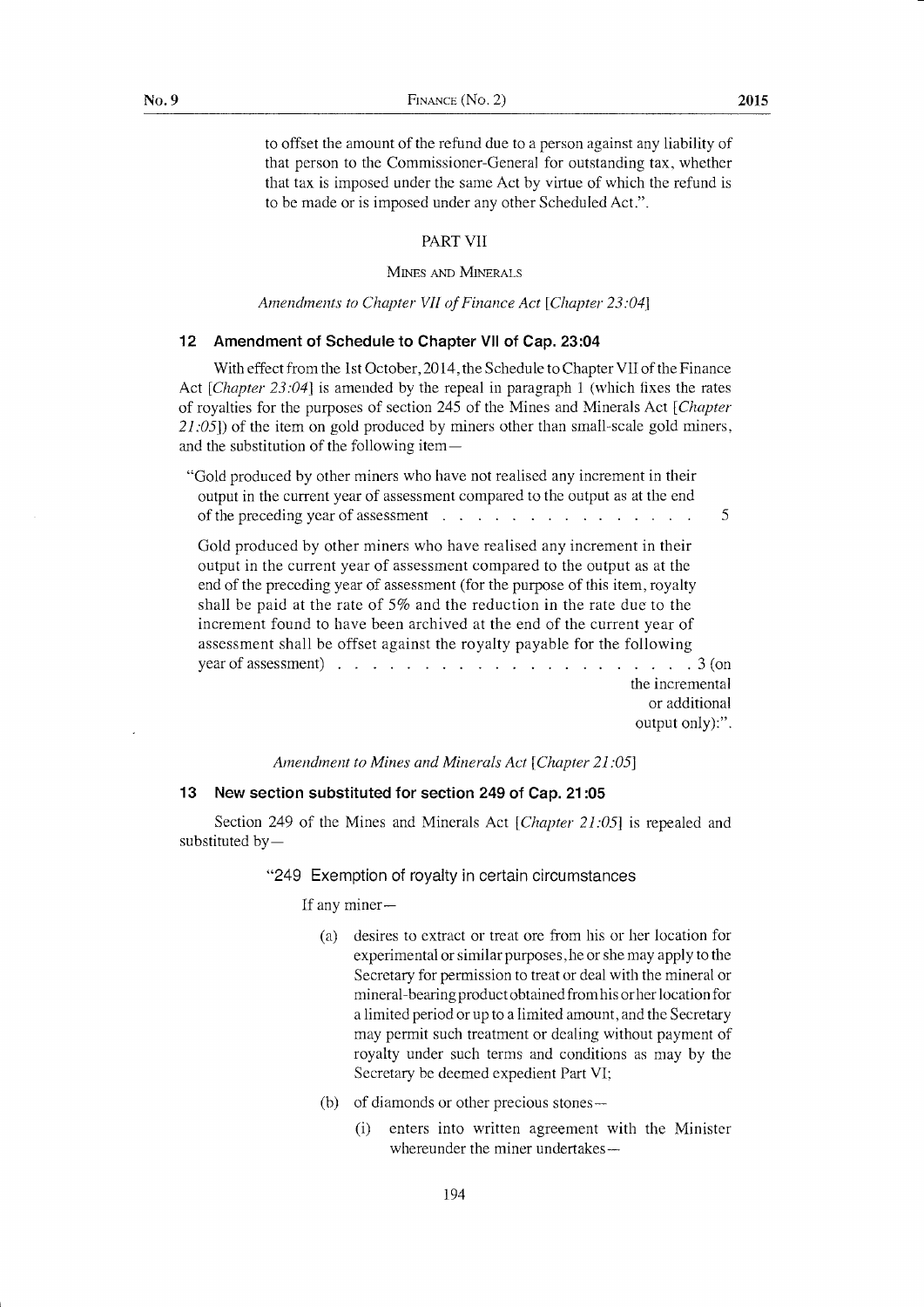to offset the amount of the refund due to a person against any liability of that person to the Commissioner-General for outstanding tax, whether that tax is imposed under the same Act by virtue of which the refund is to be made or is imposed under any other Scheduled Act.".

#### PART VII

#### MINES AND MINERALS

#### Amendments to Chapter VII of Finance Act [Chapter 23:04]

#### 12 Amendment of Schedule to Chapter Vll of Cap. 23:04

With effect from the 1st October, 2014, the Schedule to Chapter VII of the Finance Act [*Chapter 23:04*] is amended by the repeal in paragraph 1 (which fixes the rates of royalties for the purposes of section 245 of the Mines and Minerals Act [Chapter  $2I:05$ ) of the item on gold produced by miners other than small-scale gold miners, and the substitution of the following item-

"Gold produced by other miners who have not realised any increment in their output in the current year of assessment compared to the output as at the end of the preceding year of assessment  $\ldots$ ,  $\ldots$ ,  $\ldots$ ,  $\ldots$ ,  $\ldots$ ,  $\ldots$ Gold produced by other miners who have realised any increment in their output in the current year of assessment compared to the output as at the end of the preceding year of assessment (for the purpose of this item, royalty shall be paid at the rate of 5% and the reduction in the rate due to the increment found to have been archived at the end of the current year of assessment shall be offset against the royalty payable for the following year of assessment)  $\ldots$   $\ldots$   $\ldots$   $\ldots$   $\ldots$   $\ldots$   $\ldots$   $\ldots$   $\ldots$   $\ldots$   $\ldots$   $\ldots$   $\ldots$   $\ldots$   $\ldots$   $\ldots$   $\ldots$   $\ldots$   $\ldots$   $\ldots$   $\ldots$ 

the incremental or additional output only):".

Amendment to Mines and Minerals Act [Chapter 21:05]

#### 13 New section substituted for section 249 of Cap. 21 :05

Section 249 of the Mines and Minerals Act  $[Chapter 21:05]$  is repealed and substituted by $-$ 

#### "249 Exemption of royalty in certain circumstances

If any miner-

- (a) desires to extract or treat ore frorn his or her location for experimental or similar purposes, he or she may apply to the Secretary for permission to treat or deal with the mineral or mineral-bearing product obtained from his orher location for a limited period or up to a limited amount, and the Secretary may permit such treatment or dealing without payment of royalty under such terms and conditions as may by the Secretary be deemed expedient Part VI;
- (b) of diamonds or other precious stones-
	- (i) enters into written agreement with the Minister whereunder the miner undertakes—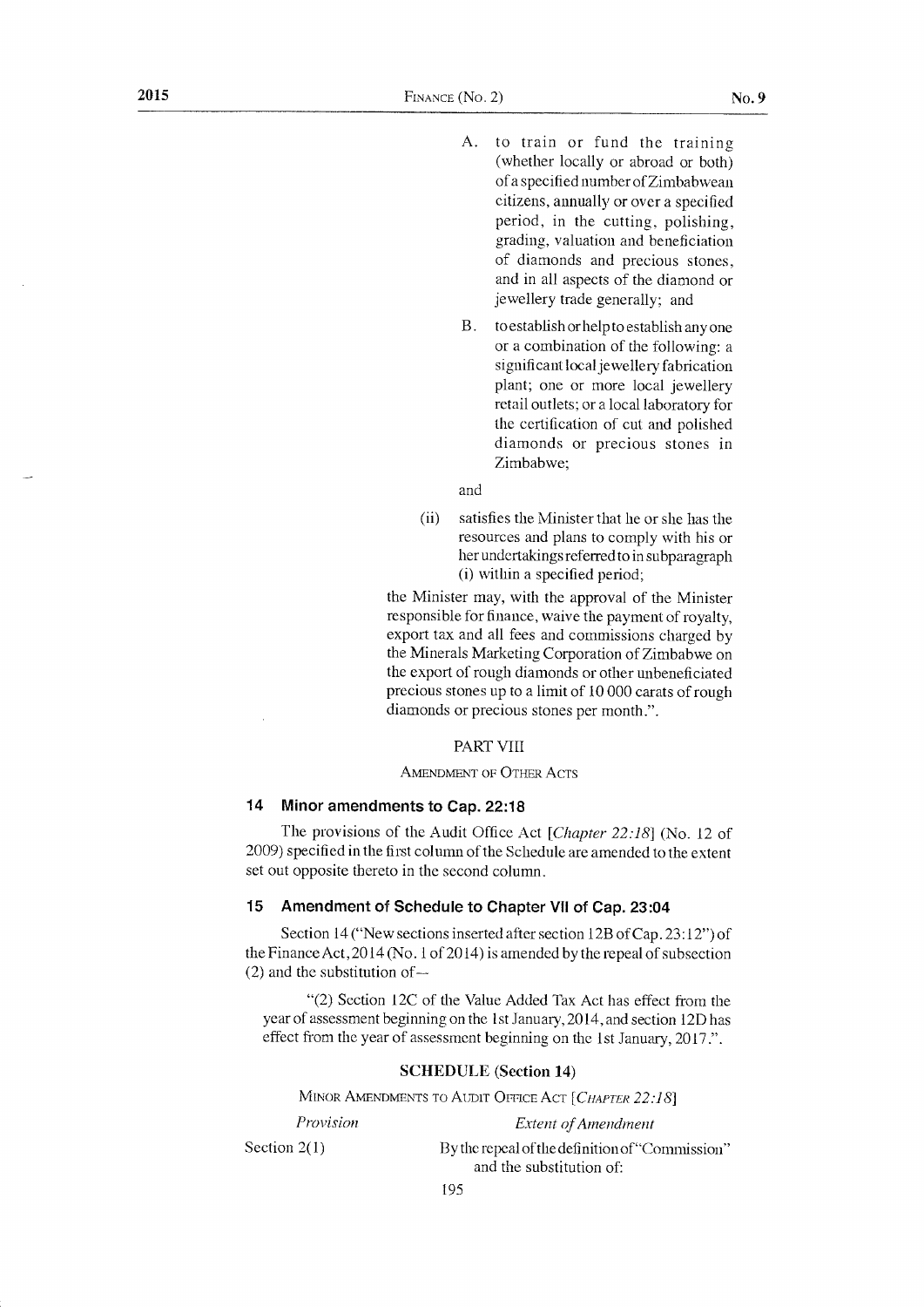- A, to train or fund the training (whether locally or abroad or both) of a specified number of Zimbabwean citizens, anrually or over a specified period, in the cutting, polishing, grading, valuation and beneficiation of diamonds and precious stones, and in all aspects of the diamond or jewellery trade generally; and
- <sup>B</sup>. to establish orhelp to establish any one or a combination of the following: a significant local jewellery fabrication plant; one or more local jewellery retail outlets; or a local laboratory for the certification of cut and poiished diamonds or precious stones in Zimbabwe:

and

(ii) satisfies the Minister that he or she has the resources and plans to comply with his or her undertakings referred to in subparagraph (i) within a specified period;

the Minister may, with the approval of the Minister responsible for finance, waive the payment of royalty, export tax and all fees and commissions charged by the Minerals Marketing Corporation of Zimbabwe on the export of rough diamonds or other unbeneficiated precious stones up to a lirnit of 10 000 carats of rough diamonds or precious stones per month.".

#### PART VIII

#### AMENDMENT OF OTHER ACTS

#### 14 Minor amendments to Cap. 22:18

The provisions of the Audit Office Act [Chapter 22:18] (No. 12 of 2009) specified in the first column of the Schedule are amended to the ertent set out opposite thereto in the second colunm.

#### 15 Amendrnent of Schedule to Chapter Vll of Cap. 23:04

Section 14 ("New sections inserted after section 12B of Cap.  $23:12"$ ") of the Finance Act,  $2014$  (No. 1 of 2014) is amended by the repeal of subsection  $(2)$  and the substitution of  $-$ 

"(2) Section LZC of the Value Added Tax Act has effect from the year of assessment beginning on the 1st January, 2014, and section 12D has effect from the year of assessment beginning on the 1st January, 2017.".

#### SCHEDULE (Section 14)

MINOR AMENDMENTS TO AUDIT OFFICE ACT [CHAPTER 22:18]

Provision Section  $2(1)$ Extent of Arnendment By the repeal of the definition of "Commission" and the substitution of: